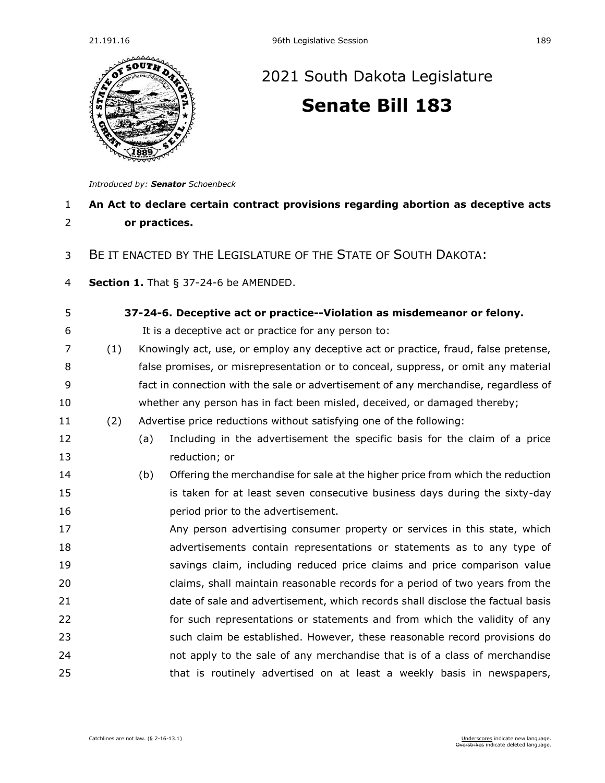

## [2021 South Dakota Legislature](https://sdlegislature.gov/Session/Bills/44) **[Senate Bill 183](https://sdlegislature.gov/Session/Bill/21911)**

*Introduced by: Senator [Schoenbeck](https://sdlegislature.gov/Legislators/Profile/1850/Detail)*

## **An Act to declare certain contract provisions regarding abortion as deceptive acts or practices.** BE IT ENACTED BY THE LEGISLATURE OF THE STATE OF SOUTH DAKOTA: **Section 1.** [That § 37-24-6 be AMENDED.](https://sdlegislature.gov/Statutes/Codified_Laws/DisplayStatute.aspx?Type=Statute&Statute=37-24-6) **[37-24-6. D](https://sdlegislature.gov/Statutes/Codified_Laws/DisplayStatute.aspx?Type=Statute&Statute=37-24-6)eceptive act or practice--Violation as misdemeanor or felony.** It is a deceptive act or practice for any person to: (1) Knowingly act, use, or employ any deceptive act or practice, fraud, false pretense, false promises, or misrepresentation or to conceal, suppress, or omit any material fact in connection with the sale or advertisement of any merchandise, regardless of whether any person has in fact been misled, deceived, or damaged thereby; (2) Advertise price reductions without satisfying one of the following: (a) Including in the advertisement the specific basis for the claim of a price reduction; or (b) Offering the merchandise for sale at the higher price from which the reduction is taken for at least seven consecutive business days during the sixty-day **period prior to the advertisement.**  Any person advertising consumer property or services in this state, which advertisements contain representations or statements as to any type of savings claim, including reduced price claims and price comparison value claims, shall maintain reasonable records for a period of two years from the date of sale and advertisement, which records shall disclose the factual basis 22 for such representations or statements and from which the validity of any such claim be established. However, these reasonable record provisions do not apply to the sale of any merchandise that is of a class of merchandise 25 that is routinely advertised on at least a weekly basis in newspapers,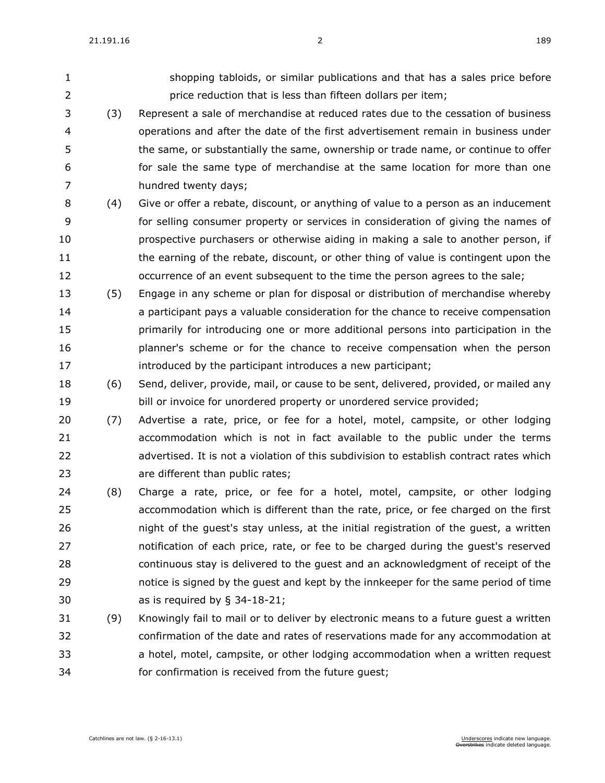- shopping tabloids, or similar publications and that has a sales price before price reduction that is less than fifteen dollars per item;
- (3) Represent a sale of merchandise at reduced rates due to the cessation of business operations and after the date of the first advertisement remain in business under the same, or substantially the same, ownership or trade name, or continue to offer for sale the same type of merchandise at the same location for more than one hundred twenty days;
- (4) Give or offer a rebate, discount, or anything of value to a person as an inducement for selling consumer property or services in consideration of giving the names of prospective purchasers or otherwise aiding in making a sale to another person, if 11 the earning of the rebate, discount, or other thing of value is contingent upon the occurrence of an event subsequent to the time the person agrees to the sale;
- (5) Engage in any scheme or plan for disposal or distribution of merchandise whereby a participant pays a valuable consideration for the chance to receive compensation primarily for introducing one or more additional persons into participation in the planner's scheme or for the chance to receive compensation when the person **introduced by the participant introduces a new participant;**
- (6) Send, deliver, provide, mail, or cause to be sent, delivered, provided, or mailed any bill or invoice for unordered property or unordered service provided;
- (7) Advertise a rate, price, or fee for a hotel, motel, campsite, or other lodging accommodation which is not in fact available to the public under the terms advertised. It is not a violation of this subdivision to establish contract rates which are different than public rates;
- (8) Charge a rate, price, or fee for a hotel, motel, campsite, or other lodging accommodation which is different than the rate, price, or fee charged on the first night of the guest's stay unless, at the initial registration of the guest, a written notification of each price, rate, or fee to be charged during the guest's reserved continuous stay is delivered to the guest and an acknowledgment of receipt of the notice is signed by the guest and kept by the innkeeper for the same period of time as is required by § [34-18-21;](https://sdlegislature.gov/Statutes/Codified_Laws/DisplayStatute.aspx?Type=Statute&Statute=34-18-21)
- (9) Knowingly fail to mail or to deliver by electronic means to a future guest a written confirmation of the date and rates of reservations made for any accommodation at a hotel, motel, campsite, or other lodging accommodation when a written request for confirmation is received from the future guest;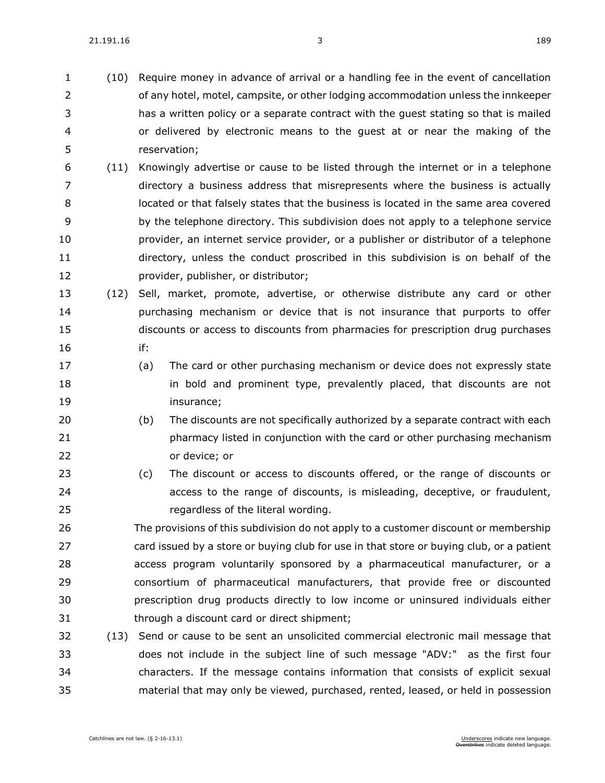- (10) Require money in advance of arrival or a handling fee in the event of cancellation of any hotel, motel, campsite, or other lodging accommodation unless the innkeeper has a written policy or a separate contract with the guest stating so that is mailed or delivered by electronic means to the guest at or near the making of the reservation;
- (11) Knowingly advertise or cause to be listed through the internet or in a telephone directory a business address that misrepresents where the business is actually located or that falsely states that the business is located in the same area covered by the telephone directory. This subdivision does not apply to a telephone service provider, an internet service provider, or a publisher or distributor of a telephone directory, unless the conduct proscribed in this subdivision is on behalf of the provider, publisher, or distributor;
- (12) Sell, market, promote, advertise, or otherwise distribute any card or other purchasing mechanism or device that is not insurance that purports to offer discounts or access to discounts from pharmacies for prescription drug purchases if:
- (a) The card or other purchasing mechanism or device does not expressly state **in bold and prominent type, prevalently placed, that discounts are not** insurance;
- (b) The discounts are not specifically authorized by a separate contract with each pharmacy listed in conjunction with the card or other purchasing mechanism or device; or
- (c) The discount or access to discounts offered, or the range of discounts or access to the range of discounts, is misleading, deceptive, or fraudulent, regardless of the literal wording.

 The provisions of this subdivision do not apply to a customer discount or membership card issued by a store or buying club for use in that store or buying club, or a patient access program voluntarily sponsored by a pharmaceutical manufacturer, or a consortium of pharmaceutical manufacturers, that provide free or discounted prescription drug products directly to low income or uninsured individuals either through a discount card or direct shipment;

 (13) Send or cause to be sent an unsolicited commercial electronic mail message that does not include in the subject line of such message "ADV:" as the first four characters. If the message contains information that consists of explicit sexual material that may only be viewed, purchased, rented, leased, or held in possession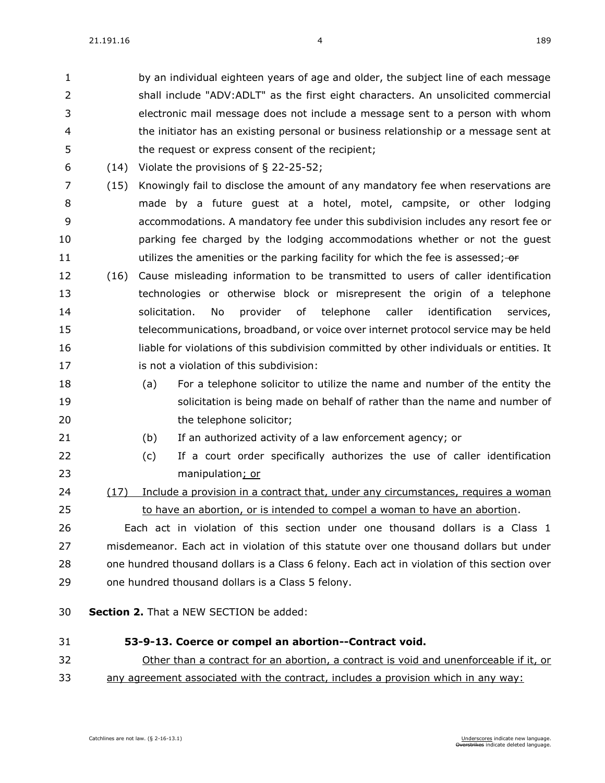by an individual eighteen years of age and older, the subject line of each message shall include "ADV:ADLT" as the first eight characters. An unsolicited commercial electronic mail message does not include a message sent to a person with whom the initiator has an existing personal or business relationship or a message sent at the request or express consent of the recipient;

- (14) Violate the provisions of § [22-25-52;](https://sdlegislature.gov/Statutes/Codified_Laws/DisplayStatute.aspx?Type=Statute&Statute=22-25-52)
- (15) Knowingly fail to disclose the amount of any mandatory fee when reservations are made by a future guest at a hotel, motel, campsite, or other lodging accommodations. A mandatory fee under this subdivision includes any resort fee or parking fee charged by the lodging accommodations whether or not the guest 11 utilizes the amenities or the parking facility for which the fee is assessed; or
- (16) Cause misleading information to be transmitted to users of caller identification technologies or otherwise block or misrepresent the origin of a telephone solicitation. No provider of telephone caller identification services, telecommunications, broadband, or voice over internet protocol service may be held liable for violations of this subdivision committed by other individuals or entities. It **is not a violation of this subdivision:**
- (a) For a telephone solicitor to utilize the name and number of the entity the solicitation is being made on behalf of rather than the name and number of 20 the telephone solicitor:
- 
- (b) If an authorized activity of a law enforcement agency; or
- (c) If a court order specifically authorizes the use of caller identification manipulation; or

 (17) Include a provision in a contract that, under any circumstances, requires a woman to have an abortion, or is intended to compel a woman to have an abortion.

 Each act in violation of this section under one thousand dollars is a Class 1 misdemeanor. Each act in violation of this statute over one thousand dollars but under one hundred thousand dollars is a Class 6 felony. Each act in violation of this section over one hundred thousand dollars is a Class 5 felony.

- **Section 2.** That a NEW SECTION be added:
- **53-9-13. Coerce or compel an abortion--Contract void.** Other than a contract for an abortion, a contract is void and unenforceable if it, or any agreement associated with the contract, includes a provision which in any way: